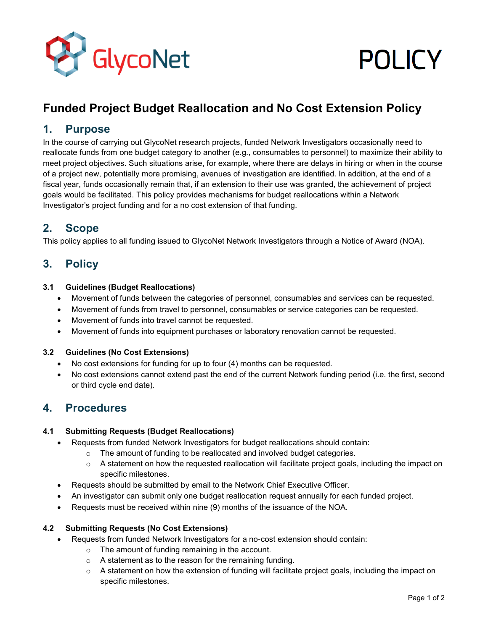

# **Funded Project Budget Reallocation and No Cost Extension Policy**

# **1. Purpose**

In the course of carrying out GlycoNet research projects, funded Network Investigators occasionally need to reallocate funds from one budget category to another (e.g., consumables to personnel) to maximize their ability to meet project objectives. Such situations arise, for example, where there are delays in hiring or when in the course of a project new, potentially more promising, avenues of investigation are identified. In addition, at the end of a fiscal year, funds occasionally remain that, if an extension to their use was granted, the achievement of project goals would be facilitated. This policy provides mechanisms for budget reallocations within a Network Investigator's project funding and for a no cost extension of that funding.

# **2. Scope**

This policy applies to all funding issued to GlycoNet Network Investigators through a Notice of Award (NOA).

# **3. Policy**

#### **3.1 Guidelines (Budget Reallocations)**

- Movement of funds between the categories of personnel, consumables and services can be requested.
- Movement of funds from travel to personnel, consumables or service categories can be requested.
- Movement of funds into travel cannot be requested.
- Movement of funds into equipment purchases or laboratory renovation cannot be requested.

#### **3.2 Guidelines (No Cost Extensions)**

- No cost extensions for funding for up to four (4) months can be requested.
- No cost extensions cannot extend past the end of the current Network funding period (i.e. the first, second or third cycle end date).

# **4. Procedures**

#### **4.1 Submitting Requests (Budget Reallocations)**

- Requests from funded Network Investigators for budget reallocations should contain:
	- $\circ$  The amount of funding to be reallocated and involved budget categories.
	- $\circ$  A statement on how the requested reallocation will facilitate project goals, including the impact on specific milestones.
- Requests should be submitted by email to the Network Chief Executive Officer.
- An investigator can submit only one budget reallocation request annually for each funded project.
- Requests must be received within nine (9) months of the issuance of the NOA.

#### **4.2 Submitting Requests (No Cost Extensions)**

- Requests from funded Network Investigators for a no-cost extension should contain:
	- o The amount of funding remaining in the account.
	- o A statement as to the reason for the remaining funding.
	- $\circ$  A statement on how the extension of funding will facilitate project goals, including the impact on specific milestones.